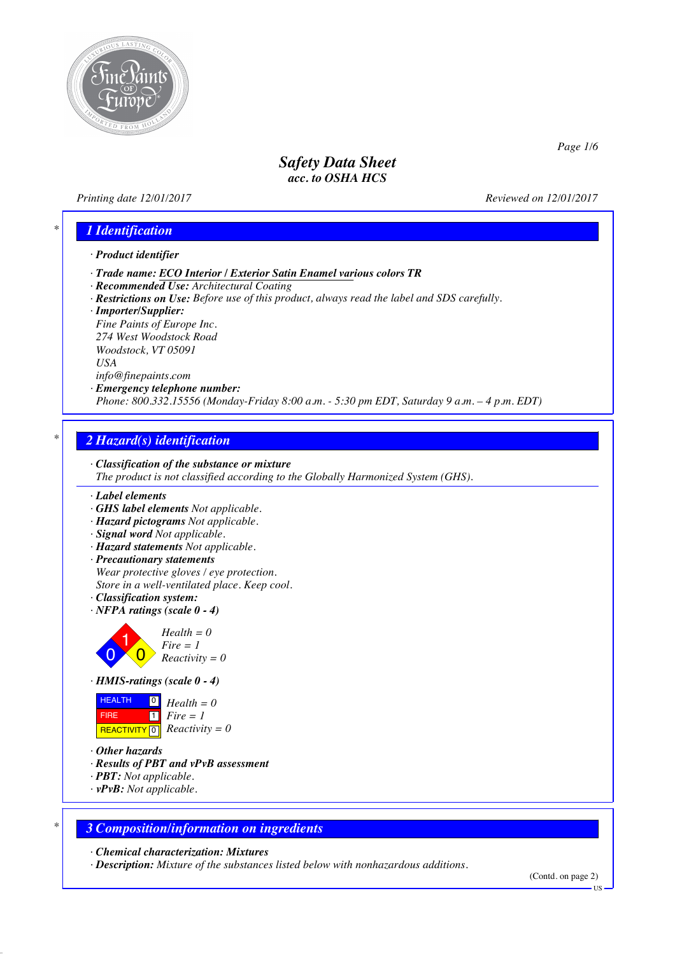

### *Printing date 12/01/2017 Reviewed on 12/01/2017*

*Page 1/6*

# *\* 1 Identification*

#### *· Product identifier*

- *· Trade name: ECO Interior / Exterior Satin Enamel various colors TR*
- *· Recommended Use: Architectural Coating*
- *· Restrictions on Use: Before use of this product, always read the label and SDS carefully.*
- *· Importer/Supplier:*

*Fine Paints of Europe Inc. 274 West Woodstock Road Woodstock, VT 05091 USA info@finepaints.com*

### *· Emergency telephone number:*

*Phone: 800.332.15556 (Monday-Friday 8:00 a.m. - 5:30 pm EDT, Saturday 9 a.m. – 4 p.m. EDT)*

# *\* 2 Hazard(s) identification*

# *· Classification of the substance or mixture*

*The product is not classified according to the Globally Harmonized System (GHS).*

#### *· Label elements*

- *· GHS label elements Not applicable.*
- *· Hazard pictograms Not applicable.*
- *· Signal word Not applicable.*
- *· Hazard statements Not applicable.*
- *· Precautionary statements Wear protective gloves / eye protection. Store in a well-ventilated place. Keep cool.*
- *· Classification system:*
- *· NFPA ratings (scale 0 - 4)*



 $Fire = 1$ *Reactivity = 0*





- *· Other hazards*
- *· Results of PBT and vPvB assessment*
- *· PBT: Not applicable.*
- *· vPvB: Not applicable.*

### *\* 3 Composition/information on ingredients*

*· Chemical characterization: Mixtures*

*· Description: Mixture of the substances listed below with nonhazardous additions.*

(Contd. on page 2)

US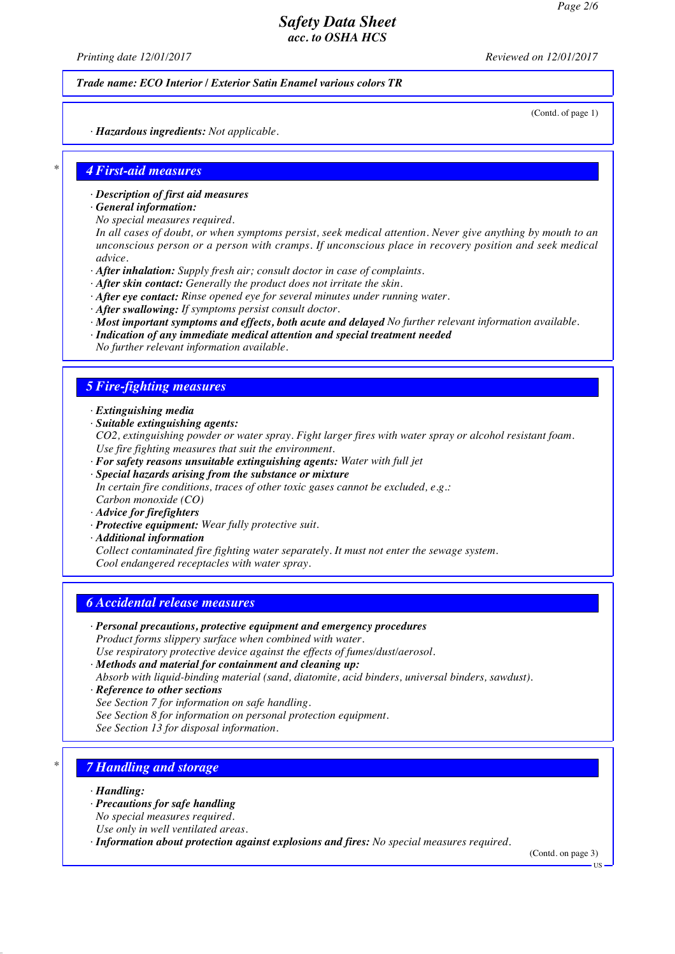*Printing date 12/01/2017 Reviewed on 12/01/2017*

*Trade name: ECO Interior / Exterior Satin Enamel various colors TR*

(Contd. of page 1)

*· Hazardous ingredients: Not applicable.*

#### *\* 4 First-aid measures*

- *· Description of first aid measures*
- *· General information:*
- *No special measures required.*

In all cases of doubt, or when symptoms persist, seek medical attention. Never give anything by mouth to an *unconscious person or a person with cramps. If unconscious place in recovery position and seek medical advice.*

- *· After inhalation: Supply fresh air; consult doctor in case of complaints.*
- *· After skin contact: Generally the product does not irritate the skin.*
- *· After eye contact: Rinse opened eye for several minutes under running water.*
- *· After swallowing: If symptoms persist consult doctor.*
- *· Most important symptoms and effects, both acute and delayed No further relevant information available.*
- *· Indication of any immediate medical attention and special treatment needed No further relevant information available.*

#### *5 Fire-fighting measures*

- *· Extinguishing media*
- *· Suitable extinguishing agents:*

*CO2, extinguishing powder or water spray. Fight larger fires with water spray or alcohol resistant foam. Use fire fighting measures that suit the environment.*

- *· For safety reasons unsuitable extinguishing agents: Water with full jet*
- *· Special hazards arising from the substance or mixture In certain fire conditions, traces of other toxic gases cannot be excluded, e.g.: Carbon monoxide (CO)*
- *· Advice for firefighters*
- *· Protective equipment: Wear fully protective suit.*
- *· Additional information*

*Collect contaminated fire fighting water separately. It must not enter the sewage system. Cool endangered receptacles with water spray.*

### *6 Accidental release measures*

- *· Personal precautions, protective equipment and emergency procedures Product forms slippery surface when combined with water. Use respiratory protective device against the effects of fumes/dust/aerosol.*
- *· Methods and material for containment and cleaning up:*
- *Absorb with liquid-binding material (sand, diatomite, acid binders, universal binders, sawdust).*
- *· Reference to other sections*
- *See Section 7 for information on safe handling.*
- *See Section 8 for information on personal protection equipment.*
- *See Section 13 for disposal information.*

# *\* 7 Handling and storage*

- *· Handling:*
- *· Precautions for safe handling*
- *No special measures required.*
- *Use only in well ventilated areas.*
- *· Information about protection against explosions and fires: No special measures required.*

(Contd. on page 3)

US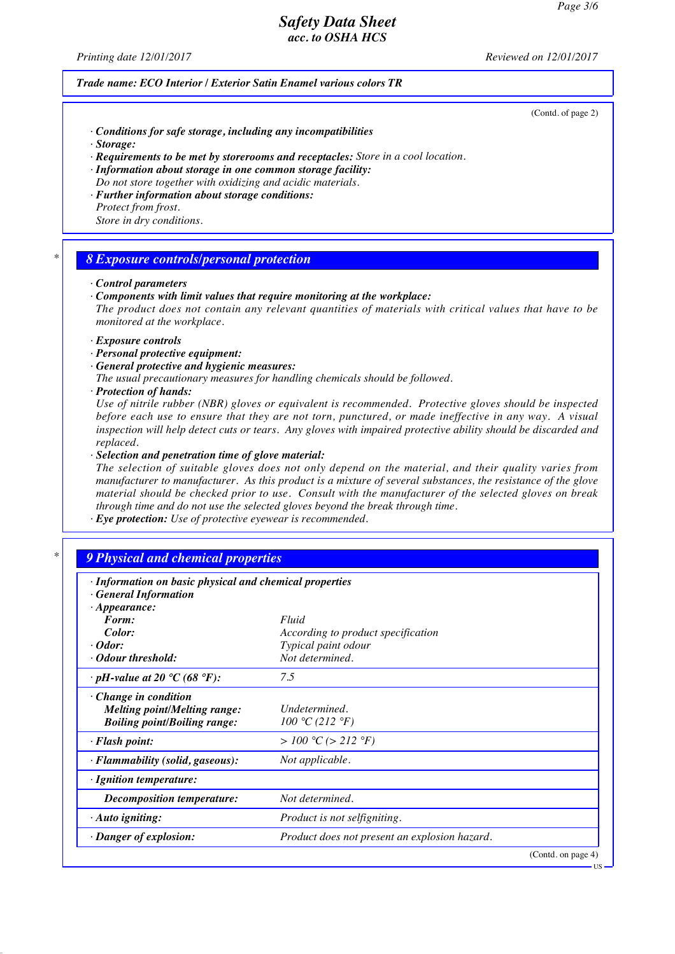*Printing date 12/01/2017 Reviewed on 12/01/2017*

#### *Trade name: ECO Interior / Exterior Satin Enamel various colors TR*

(Contd. of page 2)

US

- *· Conditions for safe storage, including any incompatibilities*
- *· Storage:*
- *· Requirements to be met by storerooms and receptacles: Store in a cool location.*
- *· Information about storage in one common storage facility:*
- *Do not store together with oxidizing and acidic materials. · Further information about storage conditions:*
- *Protect from frost. Store in dry conditions.*

#### *\* 8 Exposure controls/personal protection*

#### *· Control parameters*

*· Components with limit values that require monitoring at the workplace:*

*The product does not contain any relevant quantities of materials with critical values that have to be monitored at the workplace.*

- *· Exposure controls*
- *· Personal protective equipment:*
- *· General protective and hygienic measures:*
- *The usual precautionary measures for handling chemicals should be followed.*
- *· Protection of hands:*

*Use of nitrile rubber (NBR) gloves or equivalent is recommended. Protective gloves should be inspected* before each use to ensure that they are not torn, punctured, or made ineffective in any way. A visual *inspection will help detect cuts or tears. Any gloves with impaired protective ability should be discarded and replaced.*

*· Selection and penetration time of glove material:*

*The selection of suitable gloves does not only depend on the material, and their quality varies from manufacturer to manufacturer. As this product is a mixture of several substances, the resistance of the glove material should be checked prior to use. Consult with the manufacturer of the selected gloves on break through time and do not use the selected gloves beyond the break through time.*

*· Eye protection: Use of protective eyewear is recommended.*

# *\* 9 Physical and chemical properties*

| · Information on basic physical and chemical properties<br><b>General Information</b>                     |                                               |                    |
|-----------------------------------------------------------------------------------------------------------|-----------------------------------------------|--------------------|
| $\cdot$ Appearance:<br>Form:                                                                              | Fluid                                         |                    |
| Color:                                                                                                    | According to product specification            |                    |
| $\cdot$ Odor:                                                                                             | Typical paint odour                           |                    |
| • Odour threshold:                                                                                        | Not determined.                               |                    |
| $\cdot$ pH-value at 20 °C (68 °F):                                                                        | 7.5                                           |                    |
| $\cdot$ Change in condition<br><b>Melting point/Melting range:</b><br><b>Boiling point/Boiling range:</b> | Undetermined.<br>100 °C (212 °F)              |                    |
| $\cdot$ Flash point:                                                                                      | > 100 °C (> 212 °F)                           |                    |
| · Flammability (solid, gaseous):                                                                          | Not applicable.                               |                    |
| · Ignition temperature:                                                                                   |                                               |                    |
| Decomposition temperature:                                                                                | Not determined.                               |                    |
| $\cdot$ Auto igniting:                                                                                    | Product is not selfigniting.                  |                    |
| · Danger of explosion:                                                                                    | Product does not present an explosion hazard. |                    |
|                                                                                                           |                                               | (Contd. on page 4) |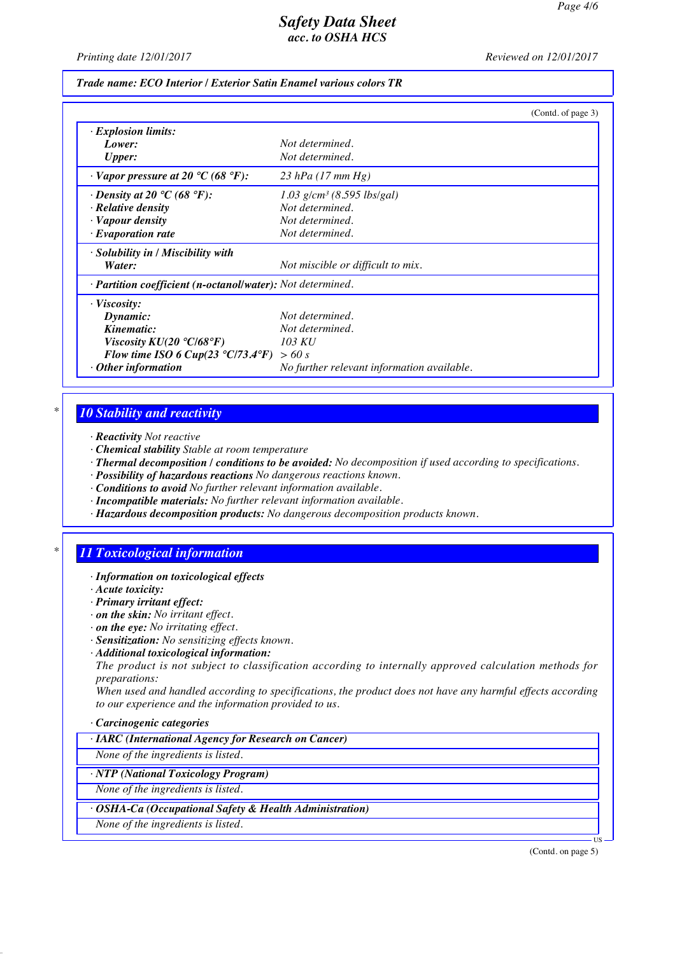*Printing date 12/01/2017 Reviewed on 12/01/2017*

#### *Trade name: ECO Interior / Exterior Satin Enamel various colors TR*

|                                                            | (Contd. of page 3)                         |
|------------------------------------------------------------|--------------------------------------------|
| $\cdot$ Explosion limits:                                  |                                            |
| Lower:                                                     | Not determined.                            |
| <b>Upper:</b>                                              | Not determined.                            |
| $\cdot$ Vapor pressure at 20 °C (68 °F):                   | $23$ hPa (17 mm Hg)                        |
| $\cdot$ Density at 20 °C (68 °F):                          | $1.03$ g/cm <sup>3</sup> (8.595 lbs/gal)   |
| $\cdot$ Relative density                                   | Not determined.                            |
| · Vapour density                                           | Not determined.                            |
| $\cdot$ Evaporation rate                                   | Not determined.                            |
| · Solubility in / Miscibility with                         |                                            |
| Water:                                                     | Not miscible or difficult to mix.          |
| · Partition coefficient (n-octanol/water): Not determined. |                                            |
| $\cdot$ Viscosity:                                         |                                            |
| Dynamic:                                                   | Not determined.                            |
| Kinematic:                                                 | Not determined.                            |
| Viscosity $KU(20 °C/68 °F)$                                | 103 KU                                     |
| Flow time ISO 6 Cup(23 $\degree$ C/73.4 $\degree$ F)       | > 60 s                                     |
| $\cdot$ Other information                                  | No further relevant information available. |

### *\* 10 Stability and reactivity*

- *· Reactivity Not reactive*
- *· Chemical stability Stable at room temperature*
- *· Thermal decomposition / conditions to be avoided: No decomposition if used according to specifications.*
- *· Possibility of hazardous reactions No dangerous reactions known.*
- *· Conditions to avoid No further relevant information available.*
- *· Incompatible materials: No further relevant information available.*
- *· Hazardous decomposition products: No dangerous decomposition products known.*

# *\* 11 Toxicological information*

- *· Information on toxicological effects*
- *· Acute toxicity:*
- *· Primary irritant effect:*
- *· on the skin: No irritant effect.*
- *· on the eye: No irritating effect.*
- *· Sensitization: No sensitizing effects known.*
- *· Additional toxicological information:*

*The product is not subject to classification according to internally approved calculation methods for preparations:*

*When used and handled according to specifications, the product does not have any harmful effects according to our experience and the information provided to us.*

#### *· Carcinogenic categories*

*· IARC (International Agency for Research on Cancer)*

*None of the ingredients is listed.*

*· NTP (National Toxicology Program)*

*None of the ingredients is listed.*

*· OSHA-Ca (Occupational Safety & Health Administration)*

*None of the ingredients is listed.*

(Contd. on page 5)

US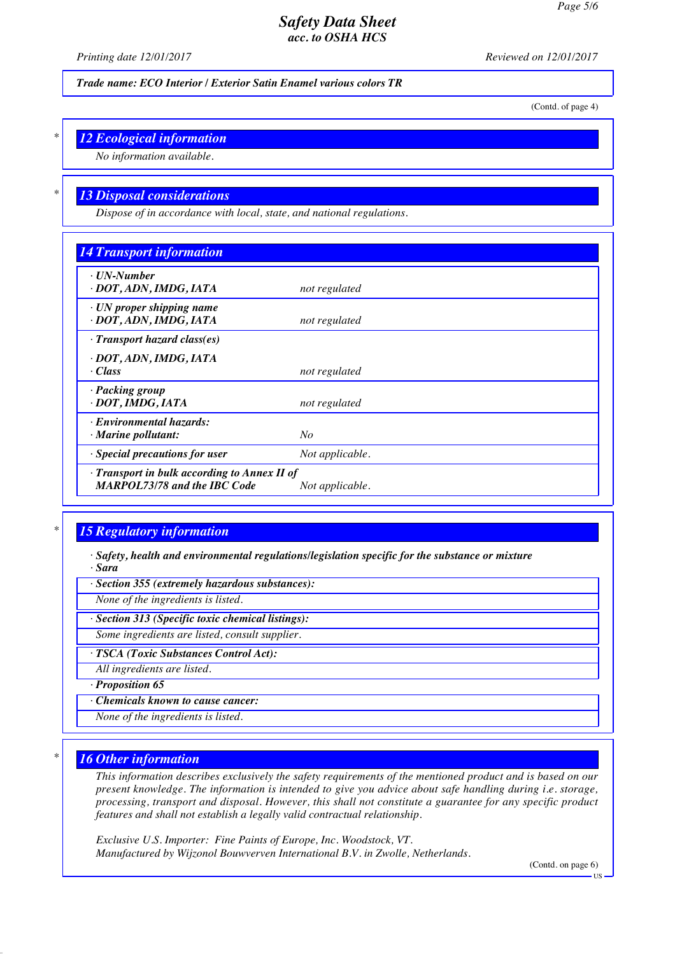*Printing date 12/01/2017 Reviewed on 12/01/2017*

*Trade name: ECO Interior / Exterior Satin Enamel various colors TR*

(Contd. of page 4)

# *\* 12 Ecological information*

*No information available.*

### *\* 13 Disposal considerations*

*Dispose of in accordance with local, state, and national regulations.*

| <b>14 Transport information</b>                                                     |                 |  |
|-------------------------------------------------------------------------------------|-----------------|--|
| $\cdot$ UN-Number<br>· DOT, ADN, IMDG, IATA                                         | not regulated   |  |
| $\cdot$ UN proper shipping name<br>· DOT, ADN, IMDG, IATA                           | not regulated   |  |
| $\cdot$ Transport hazard class(es)                                                  |                 |  |
| · DOT, ADN, IMDG, IATA                                                              |                 |  |
| $\cdot Class$                                                                       | not regulated   |  |
| · Packing group<br>· DOT, IMDG, IATA                                                | not regulated   |  |
| · Environmental hazards:                                                            |                 |  |
| $\cdot$ Marine pollutant:                                                           | No              |  |
| · Special precautions for user                                                      | Not applicable. |  |
| · Transport in bulk according to Annex II of<br><b>MARPOL73/78 and the IBC Code</b> | Not applicable. |  |

# *\* 15 Regulatory information*

*· Safety, health and environmental regulations/legislation specific for the substance or mixture · Sara*

*· Section 355 (extremely hazardous substances):*

*None of the ingredients is listed.*

*· Section 313 (Specific toxic chemical listings):*

*Some ingredients are listed, consult supplier.*

*· TSCA (Toxic Substances Control Act):*

*All ingredients are listed.*

*· Proposition 65*

*· Chemicals known to cause cancer:*

*None of the ingredients is listed.*

### *\* 16 Other information*

*This information describes exclusively the safety requirements of the mentioned product and is based on our present knowledge. The information is intended to give you advice about safe handling during i.e. storage, processing, transport and disposal. However, this shall not constitute a guarantee for any specific product features and shall not establish a legally valid contractual relationship.*

*Exclusive U.S. Importer: Fine Paints of Europe, Inc. Woodstock, VT. Manufactured by Wijzonol Bouwverven International B.V. in Zwolle, Netherlands.*

(Contd. on page 6)

US